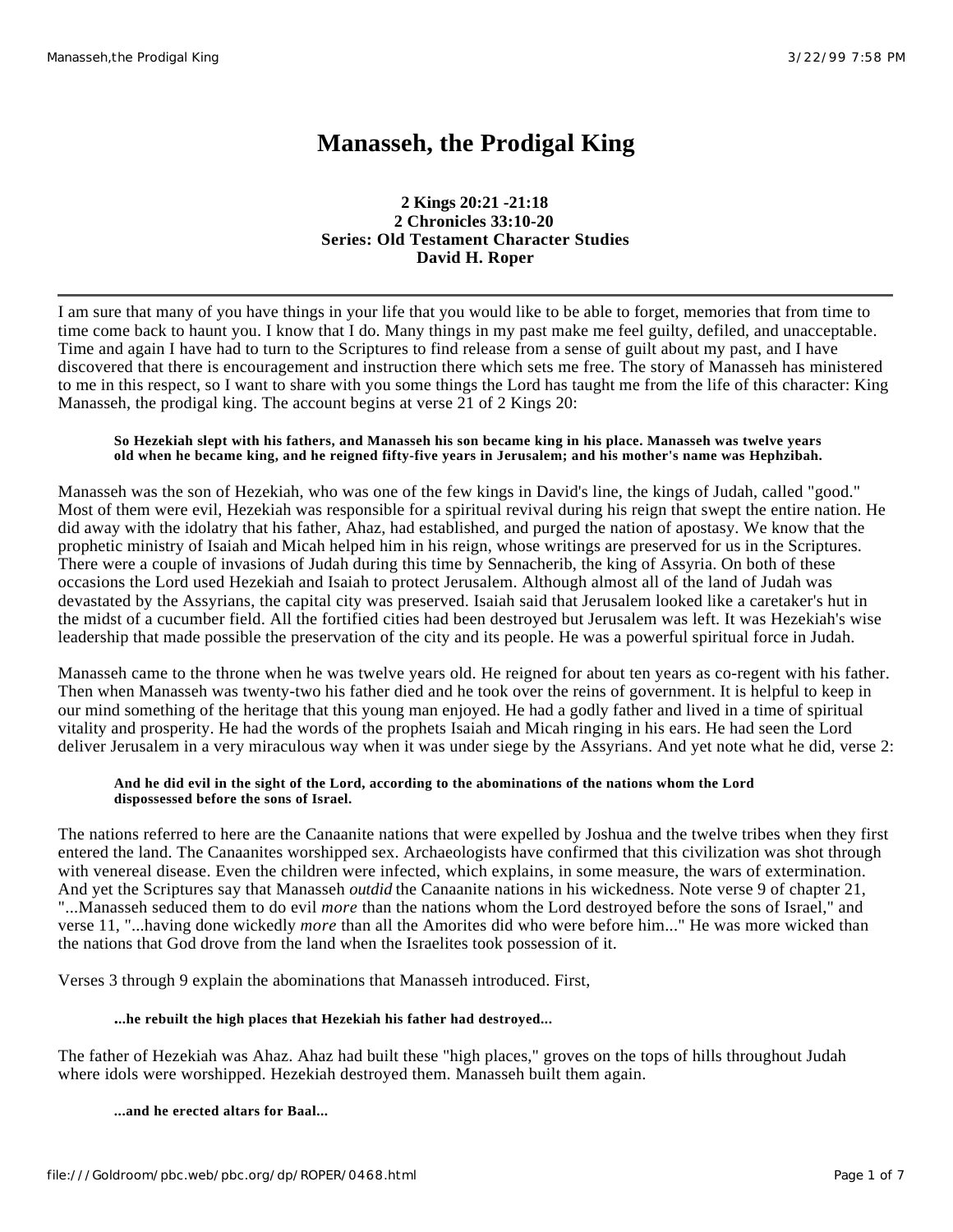# **Manasseh, the Prodigal King**

**2 Kings 20:21 -21:18 2 Chronicles 33:10-20 Series: Old Testament Character Studies David H. Roper**

I am sure that many of you have things in your life that you would like to be able to forget, memories that from time to time come back to haunt you. I know that I do. Many things in my past make me feel guilty, defiled, and unacceptable. Time and again I have had to turn to the Scriptures to find release from a sense of guilt about my past, and I have discovered that there is encouragement and instruction there which sets me free. The story of Manasseh has ministered to me in this respect, so I want to share with you some things the Lord has taught me from the life of this character: King Manasseh, the prodigal king. The account begins at verse 21 of 2 Kings 20:

## **So Hezekiah slept with his fathers, and Manasseh his son became king in his place. Manasseh was twelve years old when he became king, and he reigned fifty-five years in Jerusalem; and his mother's name was Hephzibah.**

Manasseh was the son of Hezekiah, who was one of the few kings in David's line, the kings of Judah, called "good." Most of them were evil, Hezekiah was responsible for a spiritual revival during his reign that swept the entire nation. He did away with the idolatry that his father, Ahaz, had established, and purged the nation of apostasy. We know that the prophetic ministry of Isaiah and Micah helped him in his reign, whose writings are preserved for us in the Scriptures. There were a couple of invasions of Judah during this time by Sennacherib, the king of Assyria. On both of these occasions the Lord used Hezekiah and Isaiah to protect Jerusalem. Although almost all of the land of Judah was devastated by the Assyrians, the capital city was preserved. Isaiah said that Jerusalem looked like a caretaker's hut in the midst of a cucumber field. All the fortified cities had been destroyed but Jerusalem was left. It was Hezekiah's wise leadership that made possible the preservation of the city and its people. He was a powerful spiritual force in Judah.

Manasseh came to the throne when he was twelve years old. He reigned for about ten years as co-regent with his father. Then when Manasseh was twenty-two his father died and he took over the reins of government. It is helpful to keep in our mind something of the heritage that this young man enjoyed. He had a godly father and lived in a time of spiritual vitality and prosperity. He had the words of the prophets Isaiah and Micah ringing in his ears. He had seen the Lord deliver Jerusalem in a very miraculous way when it was under siege by the Assyrians. And yet note what he did, verse 2:

## **And he did evil in the sight of the Lord, according to the abominations of the nations whom the Lord dispossessed before the sons of Israel.**

The nations referred to here are the Canaanite nations that were expelled by Joshua and the twelve tribes when they first entered the land. The Canaanites worshipped sex. Archaeologists have confirmed that this civilization was shot through with venereal disease. Even the children were infected, which explains, in some measure, the wars of extermination. And yet the Scriptures say that Manasseh *outdid* the Canaanite nations in his wickedness. Note verse 9 of chapter 21, "...Manasseh seduced them to do evil *more* than the nations whom the Lord destroyed before the sons of Israel," and verse 11, "...having done wickedly *more* than all the Amorites did who were before him..." He was more wicked than the nations that God drove from the land when the Israelites took possession of it.

Verses 3 through 9 explain the abominations that Manasseh introduced. First,

# **...he rebuilt the high places that Hezekiah his father had destroyed...**

The father of Hezekiah was Ahaz. Ahaz had built these "high places," groves on the tops of hills throughout Judah where idols were worshipped. Hezekiah destroyed them. Manasseh built them again.

**...and he erected altars for Baal...**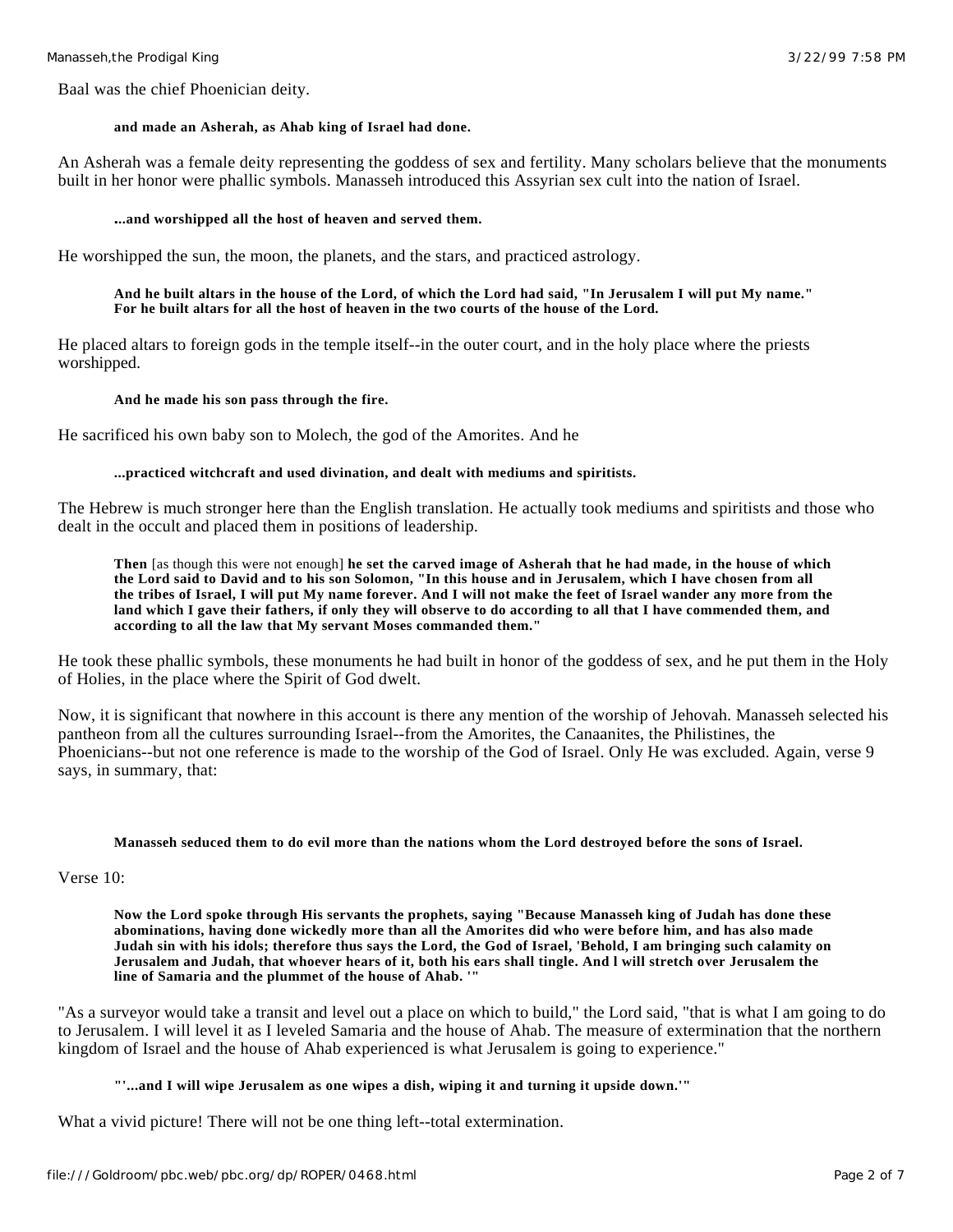Baal was the chief Phoenician deity.

### **and made an Asherah, as Ahab king of Israel had done.**

An Asherah was a female deity representing the goddess of sex and fertility. Many scholars believe that the monuments built in her honor were phallic symbols. Manasseh introduced this Assyrian sex cult into the nation of Israel.

### **...and worshipped all the host of heaven and served them.**

He worshipped the sun, the moon, the planets, and the stars, and practiced astrology.

## **And he built altars in the house of the Lord, of which the Lord had said, "In Jerusalem I will put My name." For he built altars for all the host of heaven in the two courts of the house of the Lord.**

He placed altars to foreign gods in the temple itself--in the outer court, and in the holy place where the priests worshipped.

### **And he made his son pass through the fire.**

He sacrificed his own baby son to Molech, the god of the Amorites. And he

## **...practiced witchcraft and used divination, and dealt with mediums and spiritists.**

The Hebrew is much stronger here than the English translation. He actually took mediums and spiritists and those who dealt in the occult and placed them in positions of leadership.

**Then** [as though this were not enough] **he set the carved image of Asherah that he had made, in the house of which the Lord said to David and to his son Solomon, "In this house and in Jerusalem, which I have chosen from all the tribes of Israel, I will put My name forever. And I will not make the feet of Israel wander any more from the land which I gave their fathers, if only they will observe to do according to all that I have commended them, and according to all the law that My servant Moses commanded them."**

He took these phallic symbols, these monuments he had built in honor of the goddess of sex, and he put them in the Holy of Holies, in the place where the Spirit of God dwelt.

Now, it is significant that nowhere in this account is there any mention of the worship of Jehovah. Manasseh selected his pantheon from all the cultures surrounding Israel--from the Amorites, the Canaanites, the Philistines, the Phoenicians--but not one reference is made to the worship of the God of Israel. Only He was excluded. Again, verse 9 says, in summary, that:

#### **Manasseh seduced them to do evil more than the nations whom the Lord destroyed before the sons of Israel.**

# Verse 10:

**Now the Lord spoke through His servants the prophets, saying "Because Manasseh king of Judah has done these abominations, having done wickedly more than all the Amorites did who were before him, and has also made Judah sin with his idols; therefore thus says the Lord, the God of Israel, 'Behold, I am bringing such calamity on Jerusalem and Judah, that whoever hears of it, both his ears shall tingle. And l will stretch over Jerusalem the line of Samaria and the plummet of the house of Ahab. '"**

"As a surveyor would take a transit and level out a place on which to build," the Lord said, "that is what I am going to do to Jerusalem. I will level it as I leveled Samaria and the house of Ahab. The measure of extermination that the northern kingdom of Israel and the house of Ahab experienced is what Jerusalem is going to experience."

# **"'...and I will wipe Jerusalem as one wipes a dish, wiping it and turning it upside down.'"**

What a vivid picture! There will not be one thing left--total extermination.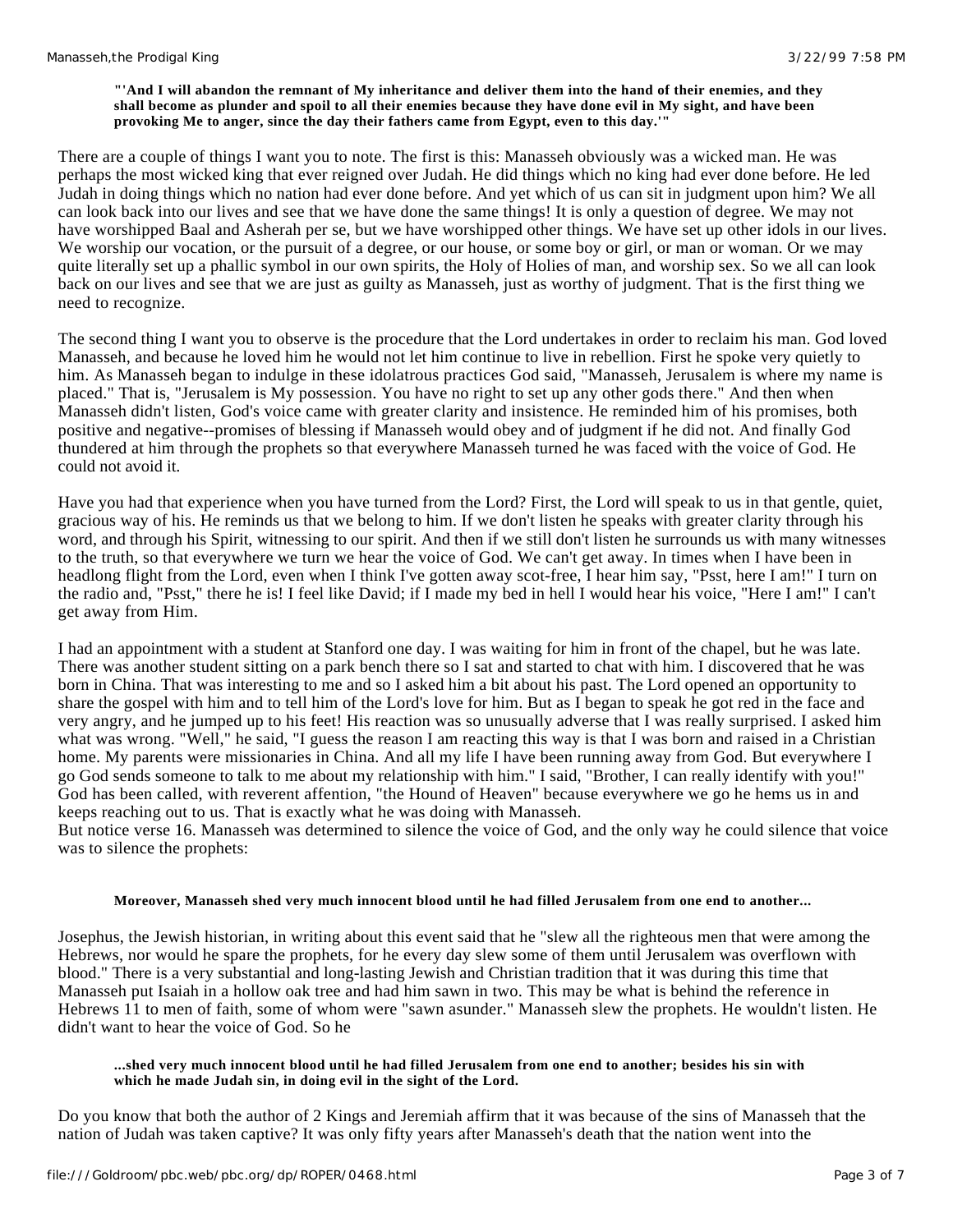### **"'And I will abandon the remnant of My inheritance and deliver them into the hand of their enemies, and they shall become as plunder and spoil to all their enemies because they have done evil in My sight, and have been provoking Me to anger, since the day their fathers came from Egypt, even to this day.'"**

There are a couple of things I want you to note. The first is this: Manasseh obviously was a wicked man. He was perhaps the most wicked king that ever reigned over Judah. He did things which no king had ever done before. He led Judah in doing things which no nation had ever done before. And yet which of us can sit in judgment upon him? We all can look back into our lives and see that we have done the same things! It is only a question of degree. We may not have worshipped Baal and Asherah per se, but we have worshipped other things. We have set up other idols in our lives. We worship our vocation, or the pursuit of a degree, or our house, or some boy or girl, or man or woman. Or we may quite literally set up a phallic symbol in our own spirits, the Holy of Holies of man, and worship sex. So we all can look back on our lives and see that we are just as guilty as Manasseh, just as worthy of judgment. That is the first thing we need to recognize.

The second thing I want you to observe is the procedure that the Lord undertakes in order to reclaim his man. God loved Manasseh, and because he loved him he would not let him continue to live in rebellion. First he spoke very quietly to him. As Manasseh began to indulge in these idolatrous practices God said, "Manasseh, Jerusalem is where my name is placed." That is, "Jerusalem is My possession. You have no right to set up any other gods there." And then when Manasseh didn't listen, God's voice came with greater clarity and insistence. He reminded him of his promises, both positive and negative--promises of blessing if Manasseh would obey and of judgment if he did not. And finally God thundered at him through the prophets so that everywhere Manasseh turned he was faced with the voice of God. He could not avoid it.

Have you had that experience when you have turned from the Lord? First, the Lord will speak to us in that gentle, quiet, gracious way of his. He reminds us that we belong to him. If we don't listen he speaks with greater clarity through his word, and through his Spirit, witnessing to our spirit. And then if we still don't listen he surrounds us with many witnesses to the truth, so that everywhere we turn we hear the voice of God. We can't get away. In times when I have been in headlong flight from the Lord, even when I think I've gotten away scot-free, I hear him say, "Psst, here I am!" I turn on the radio and, "Psst," there he is! I feel like David; if I made my bed in hell I would hear his voice, "Here I am!" I can't get away from Him.

I had an appointment with a student at Stanford one day. I was waiting for him in front of the chapel, but he was late. There was another student sitting on a park bench there so I sat and started to chat with him. I discovered that he was born in China. That was interesting to me and so I asked him a bit about his past. The Lord opened an opportunity to share the gospel with him and to tell him of the Lord's love for him. But as I began to speak he got red in the face and very angry, and he jumped up to his feet! His reaction was so unusually adverse that I was really surprised. I asked him what was wrong. "Well," he said, "I guess the reason I am reacting this way is that I was born and raised in a Christian home. My parents were missionaries in China. And all my life I have been running away from God. But everywhere I go God sends someone to talk to me about my relationship with him." I said, "Brother, I can really identify with you!" God has been called, with reverent affention, "the Hound of Heaven" because everywhere we go he hems us in and keeps reaching out to us. That is exactly what he was doing with Manasseh.

But notice verse 16. Manasseh was determined to silence the voice of God, and the only way he could silence that voice was to silence the prophets:

# **Moreover, Manasseh shed very much innocent blood until he had filled Jerusalem from one end to another...**

Josephus, the Jewish historian, in writing about this event said that he "slew all the righteous men that were among the Hebrews, nor would he spare the prophets, for he every day slew some of them until Jerusalem was overflown with blood." There is a very substantial and long-lasting Jewish and Christian tradition that it was during this time that Manasseh put Isaiah in a hollow oak tree and had him sawn in two. This may be what is behind the reference in Hebrews 11 to men of faith, some of whom were "sawn asunder." Manasseh slew the prophets. He wouldn't listen. He didn't want to hear the voice of God. So he

# **...shed very much innocent blood until he had filled Jerusalem from one end to another; besides his sin with which he made Judah sin, in doing evil in the sight of the Lord.**

Do you know that both the author of 2 Kings and Jeremiah affirm that it was because of the sins of Manasseh that the nation of Judah was taken captive? It was only fifty years after Manasseh's death that the nation went into the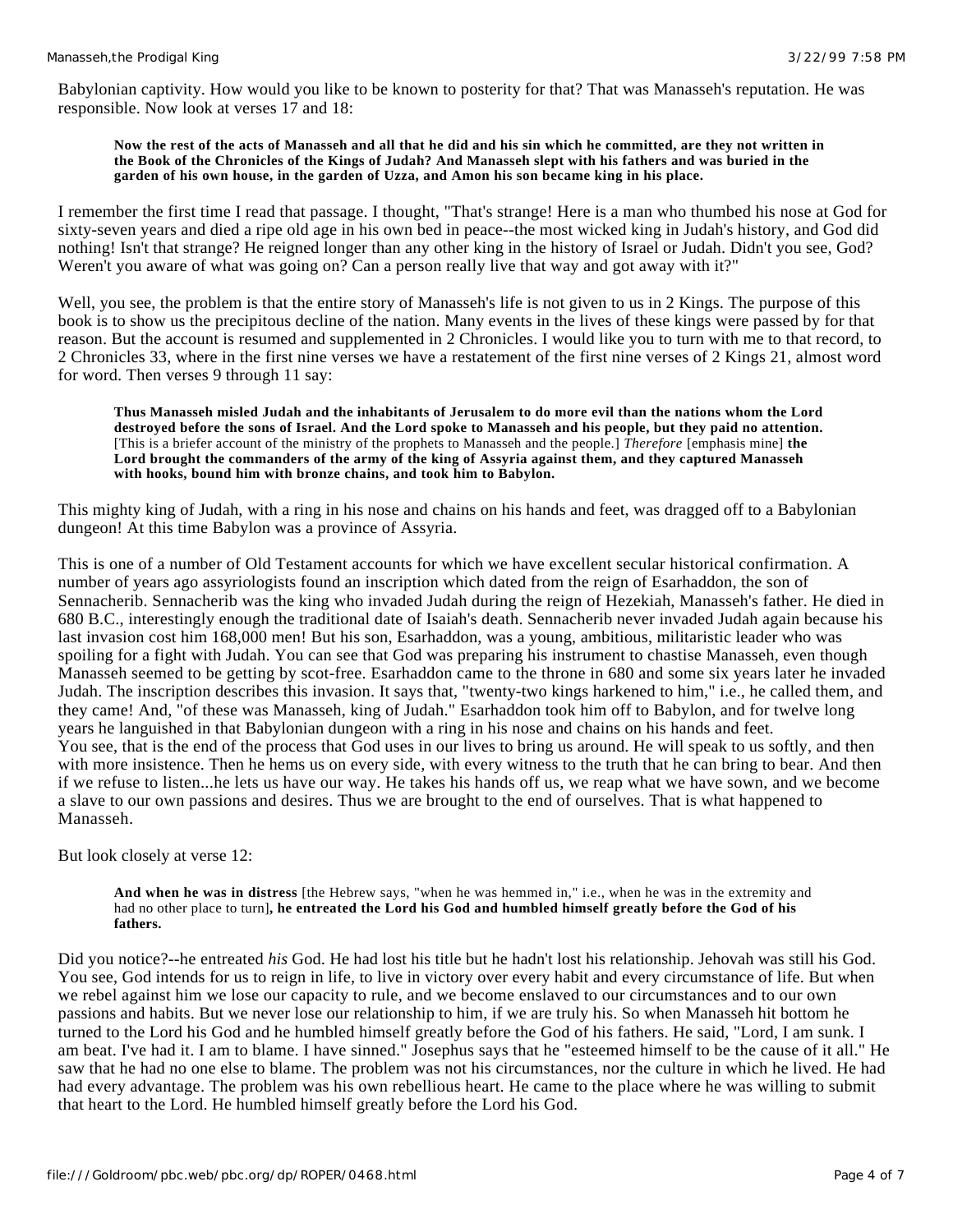Babylonian captivity. How would you like to be known to posterity for that? That was Manasseh's reputation. He was responsible. Now look at verses 17 and 18:

### **Now the rest of the acts of Manasseh and all that he did and his sin which he committed, are they not written in the Book of the Chronicles of the Kings of Judah? And Manasseh slept with his fathers and was buried in the garden of his own house, in the garden of Uzza, and Amon his son became king in his place.**

I remember the first time I read that passage. I thought, "That's strange! Here is a man who thumbed his nose at God for sixty-seven years and died a ripe old age in his own bed in peace--the most wicked king in Judah's history, and God did nothing! Isn't that strange? He reigned longer than any other king in the history of Israel or Judah. Didn't you see, God? Weren't you aware of what was going on? Can a person really live that way and got away with it?"

Well, you see, the problem is that the entire story of Manasseh's life is not given to us in 2 Kings. The purpose of this book is to show us the precipitous decline of the nation. Many events in the lives of these kings were passed by for that reason. But the account is resumed and supplemented in 2 Chronicles. I would like you to turn with me to that record, to 2 Chronicles 33, where in the first nine verses we have a restatement of the first nine verses of 2 Kings 21, almost word for word. Then verses 9 through 11 say:

**Thus Manasseh misled Judah and the inhabitants of Jerusalem to do more evil than the nations whom the Lord destroyed before the sons of Israel. And the Lord spoke to Manasseh and his people, but they paid no attention.**  [This is a briefer account of the ministry of the prophets to Manasseh and the people.] *Therefore* [emphasis mine] **the Lord brought the commanders of the army of the king of Assyria against them, and they captured Manasseh with hooks, bound him with bronze chains, and took him to Babylon.**

This mighty king of Judah, with a ring in his nose and chains on his hands and feet, was dragged off to a Babylonian dungeon! At this time Babylon was a province of Assyria.

This is one of a number of Old Testament accounts for which we have excellent secular historical confirmation. A number of years ago assyriologists found an inscription which dated from the reign of Esarhaddon, the son of Sennacherib. Sennacherib was the king who invaded Judah during the reign of Hezekiah, Manasseh's father. He died in 680 B.C., interestingly enough the traditional date of Isaiah's death. Sennacherib never invaded Judah again because his last invasion cost him 168,000 men! But his son, Esarhaddon, was a young, ambitious, militaristic leader who was spoiling for a fight with Judah. You can see that God was preparing his instrument to chastise Manasseh, even though Manasseh seemed to be getting by scot-free. Esarhaddon came to the throne in 680 and some six years later he invaded Judah. The inscription describes this invasion. It says that, "twenty-two kings harkened to him," i.e., he called them, and they came! And, "of these was Manasseh, king of Judah." Esarhaddon took him off to Babylon, and for twelve long years he languished in that Babylonian dungeon with a ring in his nose and chains on his hands and feet. You see, that is the end of the process that God uses in our lives to bring us around. He will speak to us softly, and then with more insistence. Then he hems us on every side, with every witness to the truth that he can bring to bear. And then if we refuse to listen...he lets us have our way. He takes his hands off us, we reap what we have sown, and we become a slave to our own passions and desires. Thus we are brought to the end of ourselves. That is what happened to Manasseh.

But look closely at verse 12:

**And when he was in distress** [the Hebrew says, "when he was hemmed in," i.e., when he was in the extremity and had no other place to turn]**, he entreated the Lord his God and humbled himself greatly before the God of his fathers.**

Did you notice?--he entreated *his* God. He had lost his title but he hadn't lost his relationship. Jehovah was still his God. You see, God intends for us to reign in life, to live in victory over every habit and every circumstance of life. But when we rebel against him we lose our capacity to rule, and we become enslaved to our circumstances and to our own passions and habits. But we never lose our relationship to him, if we are truly his. So when Manasseh hit bottom he turned to the Lord his God and he humbled himself greatly before the God of his fathers. He said, "Lord, I am sunk. I am beat. I've had it. I am to blame. I have sinned." Josephus says that he "esteemed himself to be the cause of it all." He saw that he had no one else to blame. The problem was not his circumstances, nor the culture in which he lived. He had had every advantage. The problem was his own rebellious heart. He came to the place where he was willing to submit that heart to the Lord. He humbled himself greatly before the Lord his God.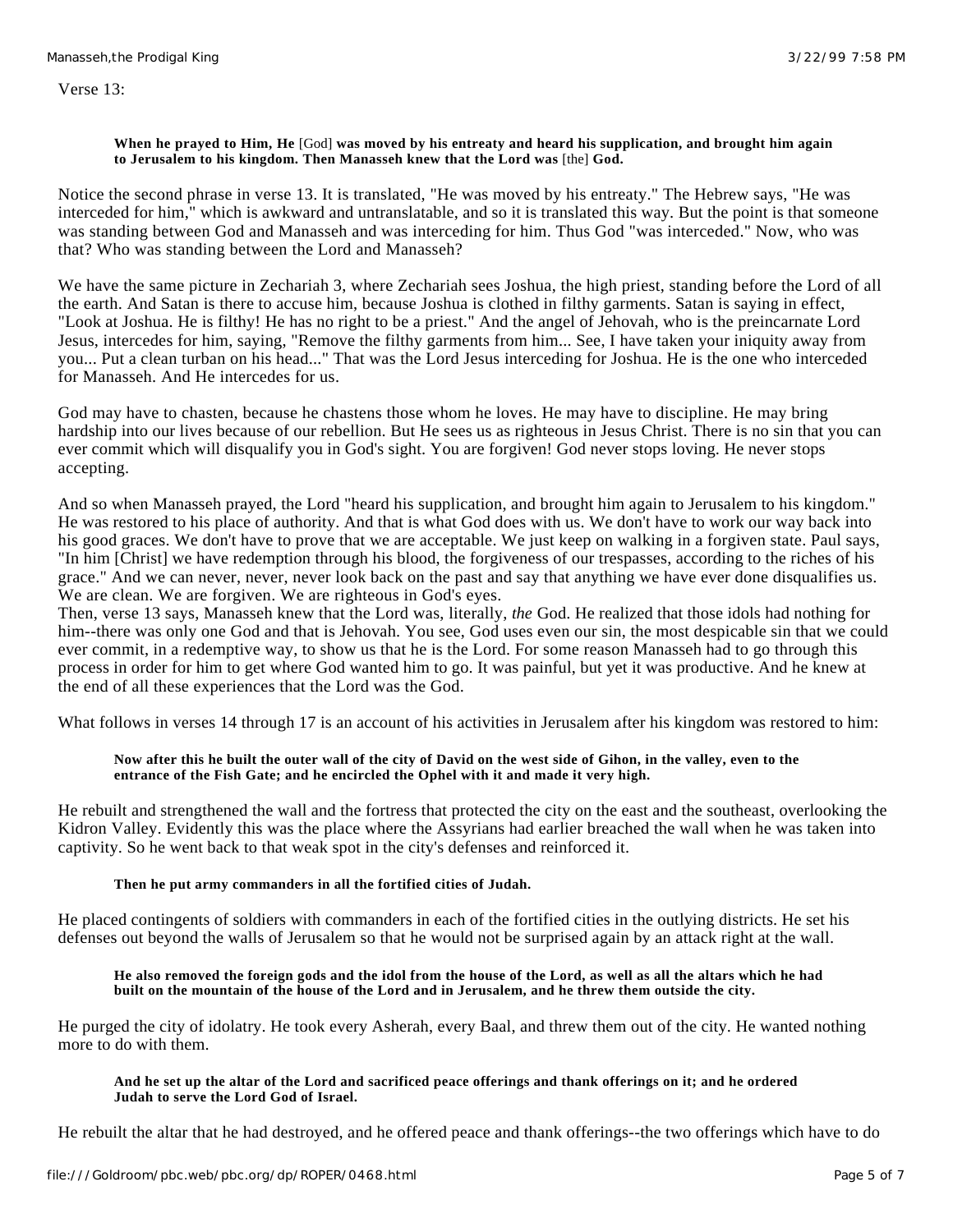Verse 13:

## **When he prayed to Him, He** [God] **was moved by his entreaty and heard his supplication, and brought him again to Jerusalem to his kingdom. Then Manasseh knew that the Lord was** [the] **God.**

Notice the second phrase in verse 13. It is translated, "He was moved by his entreaty." The Hebrew says, "He was interceded for him," which is awkward and untranslatable, and so it is translated this way. But the point is that someone was standing between God and Manasseh and was interceding for him. Thus God "was interceded." Now, who was that? Who was standing between the Lord and Manasseh?

We have the same picture in Zechariah 3, where Zechariah sees Joshua, the high priest, standing before the Lord of all the earth. And Satan is there to accuse him, because Joshua is clothed in filthy garments. Satan is saying in effect, "Look at Joshua. He is filthy! He has no right to be a priest." And the angel of Jehovah, who is the preincarnate Lord Jesus, intercedes for him, saying, "Remove the filthy garments from him... See, I have taken your iniquity away from you... Put a clean turban on his head..." That was the Lord Jesus interceding for Joshua. He is the one who interceded for Manasseh. And He intercedes for us.

God may have to chasten, because he chastens those whom he loves. He may have to discipline. He may bring hardship into our lives because of our rebellion. But He sees us as righteous in Jesus Christ. There is no sin that you can ever commit which will disqualify you in God's sight. You are forgiven! God never stops loving. He never stops accepting.

And so when Manasseh prayed, the Lord "heard his supplication, and brought him again to Jerusalem to his kingdom." He was restored to his place of authority. And that is what God does with us. We don't have to work our way back into his good graces. We don't have to prove that we are acceptable. We just keep on walking in a forgiven state. Paul says, "In him [Christ] we have redemption through his blood, the forgiveness of our trespasses, according to the riches of his grace." And we can never, never, never look back on the past and say that anything we have ever done disqualifies us. We are clean. We are forgiven. We are righteous in God's eyes.

Then, verse 13 says, Manasseh knew that the Lord was, literally, *the* God. He realized that those idols had nothing for him--there was only one God and that is Jehovah. You see, God uses even our sin, the most despicable sin that we could ever commit, in a redemptive way, to show us that he is the Lord. For some reason Manasseh had to go through this process in order for him to get where God wanted him to go. It was painful, but yet it was productive. And he knew at the end of all these experiences that the Lord was the God.

What follows in verses 14 through 17 is an account of his activities in Jerusalem after his kingdom was restored to him:

# **Now after this he built the outer wall of the city of David on the west side of Gihon, in the valley, even to the entrance of the Fish Gate; and he encircled the Ophel with it and made it very high.**

He rebuilt and strengthened the wall and the fortress that protected the city on the east and the southeast, overlooking the Kidron Valley. Evidently this was the place where the Assyrians had earlier breached the wall when he was taken into captivity. So he went back to that weak spot in the city's defenses and reinforced it.

# **Then he put army commanders in all the fortified cities of Judah.**

He placed contingents of soldiers with commanders in each of the fortified cities in the outlying districts. He set his defenses out beyond the walls of Jerusalem so that he would not be surprised again by an attack right at the wall.

## **He also removed the foreign gods and the idol from the house of the Lord, as well as all the altars which he had built on the mountain of the house of the Lord and in Jerusalem, and he threw them outside the city.**

He purged the city of idolatry. He took every Asherah, every Baal, and threw them out of the city. He wanted nothing more to do with them.

### **And he set up the altar of the Lord and sacrificed peace offerings and thank offerings on it; and he ordered Judah to serve the Lord God of Israel.**

He rebuilt the altar that he had destroyed, and he offered peace and thank offerings--the two offerings which have to do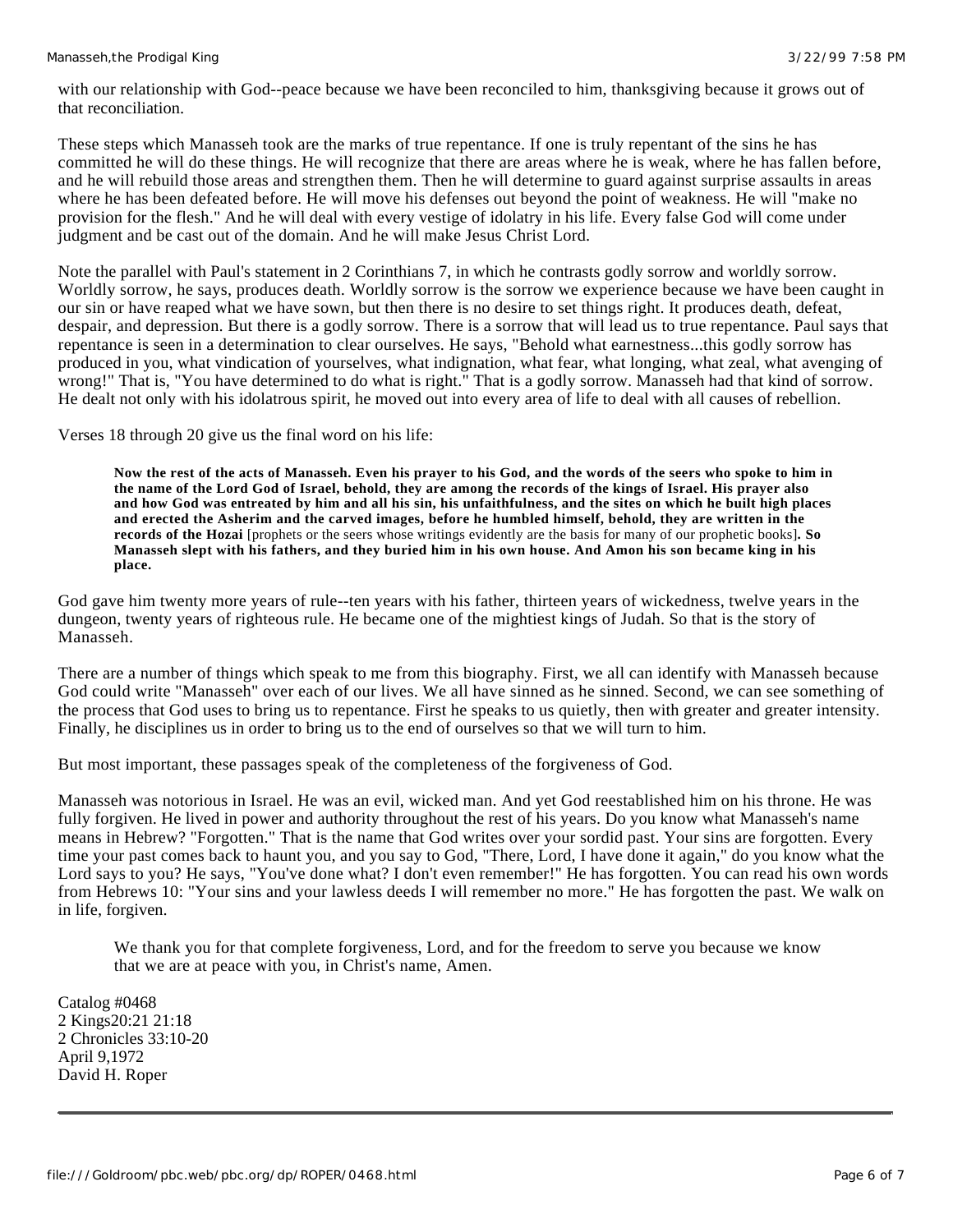with our relationship with God--peace because we have been reconciled to him, thanksgiving because it grows out of that reconciliation.

These steps which Manasseh took are the marks of true repentance. If one is truly repentant of the sins he has committed he will do these things. He will recognize that there are areas where he is weak, where he has fallen before, and he will rebuild those areas and strengthen them. Then he will determine to guard against surprise assaults in areas where he has been defeated before. He will move his defenses out beyond the point of weakness. He will "make no provision for the flesh." And he will deal with every vestige of idolatry in his life. Every false God will come under judgment and be cast out of the domain. And he will make Jesus Christ Lord.

Note the parallel with Paul's statement in 2 Corinthians 7, in which he contrasts godly sorrow and worldly sorrow. Worldly sorrow, he says, produces death. Worldly sorrow is the sorrow we experience because we have been caught in our sin or have reaped what we have sown, but then there is no desire to set things right. It produces death, defeat, despair, and depression. But there is a godly sorrow. There is a sorrow that will lead us to true repentance. Paul says that repentance is seen in a determination to clear ourselves. He says, "Behold what earnestness...this godly sorrow has produced in you, what vindication of yourselves, what indignation, what fear, what longing, what zeal, what avenging of wrong!" That is, "You have determined to do what is right." That is a godly sorrow. Manasseh had that kind of sorrow. He dealt not only with his idolatrous spirit, he moved out into every area of life to deal with all causes of rebellion.

Verses 18 through 20 give us the final word on his life:

**Now the rest of the acts of Manasseh. Even his prayer to his God, and the words of the seers who spoke to him in the name of the Lord God of Israel, behold, they are among the records of the kings of Israel. His prayer also and how God was entreated by him and all his sin, his unfaithfulness, and the sites on which he built high places and erected the Asherim and the carved images, before he humbled himself, behold, they are written in the records of the Hozai** [prophets or the seers whose writings evidently are the basis for many of our prophetic books]**. So Manasseh slept with his fathers, and they buried him in his own house. And Amon his son became king in his place.**

God gave him twenty more years of rule--ten years with his father, thirteen years of wickedness, twelve years in the dungeon, twenty years of righteous rule. He became one of the mightiest kings of Judah. So that is the story of Manasseh.

There are a number of things which speak to me from this biography. First, we all can identify with Manasseh because God could write "Manasseh" over each of our lives. We all have sinned as he sinned. Second, we can see something of the process that God uses to bring us to repentance. First he speaks to us quietly, then with greater and greater intensity. Finally, he disciplines us in order to bring us to the end of ourselves so that we will turn to him.

But most important, these passages speak of the completeness of the forgiveness of God.

Manasseh was notorious in Israel. He was an evil, wicked man. And yet God reestablished him on his throne. He was fully forgiven. He lived in power and authority throughout the rest of his years. Do you know what Manasseh's name means in Hebrew? "Forgotten." That is the name that God writes over your sordid past. Your sins are forgotten. Every time your past comes back to haunt you, and you say to God, "There, Lord, I have done it again," do you know what the Lord says to you? He says, "You've done what? I don't even remember!" He has forgotten. You can read his own words from Hebrews 10: "Your sins and your lawless deeds I will remember no more." He has forgotten the past. We walk on in life, forgiven.

We thank you for that complete forgiveness, Lord, and for the freedom to serve you because we know that we are at peace with you, in Christ's name, Amen.

Catalog #0468 2 Kings20:21 21:18 2 Chronicles 33:10-20 April 9,1972 David H. Roper